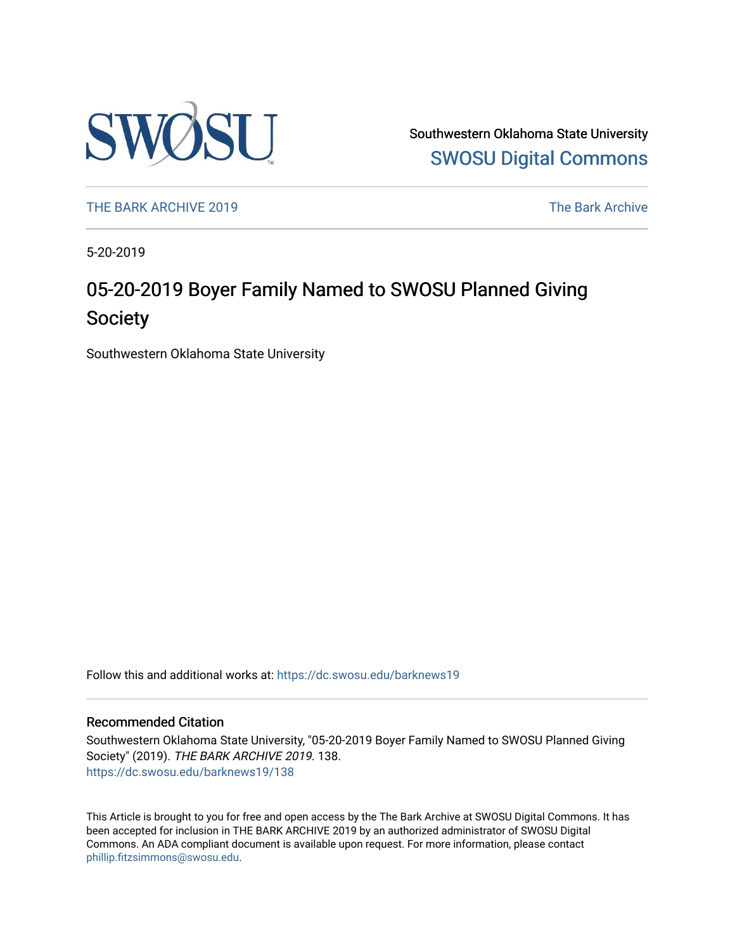

Southwestern Oklahoma State University [SWOSU Digital Commons](https://dc.swosu.edu/) 

[THE BARK ARCHIVE 2019](https://dc.swosu.edu/barknews19) The Bark Archive

5-20-2019

# 05-20-2019 Boyer Family Named to SWOSU Planned Giving Society

Southwestern Oklahoma State University

Follow this and additional works at: [https://dc.swosu.edu/barknews19](https://dc.swosu.edu/barknews19?utm_source=dc.swosu.edu%2Fbarknews19%2F138&utm_medium=PDF&utm_campaign=PDFCoverPages)

#### Recommended Citation

Southwestern Oklahoma State University, "05-20-2019 Boyer Family Named to SWOSU Planned Giving Society" (2019). THE BARK ARCHIVE 2019. 138. [https://dc.swosu.edu/barknews19/138](https://dc.swosu.edu/barknews19/138?utm_source=dc.swosu.edu%2Fbarknews19%2F138&utm_medium=PDF&utm_campaign=PDFCoverPages)

This Article is brought to you for free and open access by the The Bark Archive at SWOSU Digital Commons. It has been accepted for inclusion in THE BARK ARCHIVE 2019 by an authorized administrator of SWOSU Digital Commons. An ADA compliant document is available upon request. For more information, please contact [phillip.fitzsimmons@swosu.edu](mailto:phillip.fitzsimmons@swosu.edu).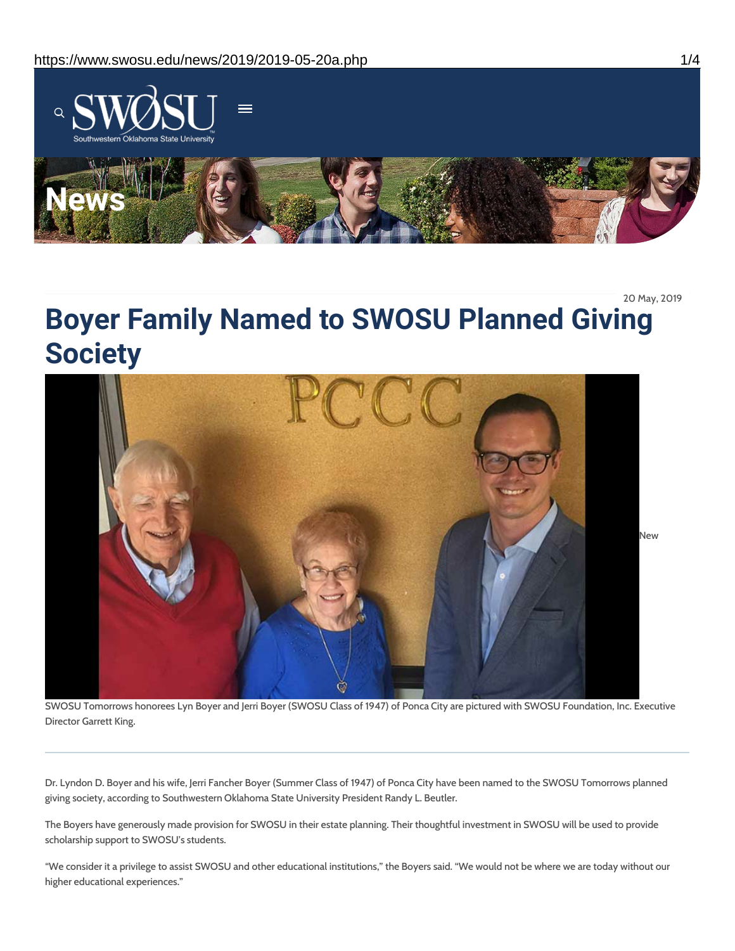

20 May, 2019

# **Boyer Family Named to SWOSU Planned Giving Society**



SWOSU Tomorrows honorees Lyn Boyer and Jerri Boyer (SWOSU Class of 1947) of Ponca City are pictured with SWOSU Foundation, Inc. Executive Director Garrett King.

Dr. Lyndon D. Boyer and his wife, Jerri Fancher Boyer (Summer Class of 1947) of Ponca City have been named to the SWOSU Tomorrows planned giving society, according to Southwestern Oklahoma State University President Randy L. Beutler.

The Boyers have generously made provision for SWOSU in their estate planning. Their thoughtful investment in SWOSU will be used to provide scholarship support to SWOSU's students.

"We consider it a privilege to assist SWOSU and other educational institutions," the Boyers said. "We would not be where we are today without our higher educational experiences."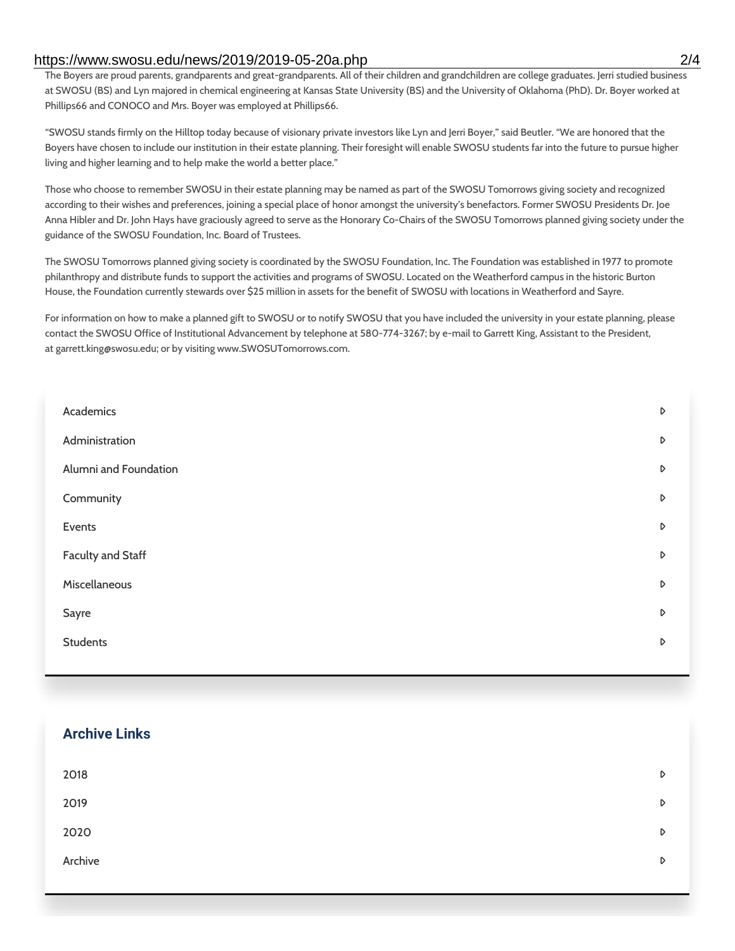#### https://www.swosu.edu/news/2019/2019-05-20a.php 2/4

The Boyers are proud parents, grandparents and great-grandparents. All of their children and grandchildren are college graduates. Jerri studied business at SWOSU (BS) and Lyn majored in chemical engineering at Kansas State University (BS) and the University of Oklahoma (PhD). Dr. Boyer worked at Phillips66 and CONOCO and Mrs. Boyer was employed at Phillips66.

"SWOSU stands firmly on the Hilltop today because of visionary private investors like Lyn and Jerri Boyer," said Beutler. "We are honored that the Boyers have chosen to include our institution in their estate planning. Their foresight will enable SWOSU students far into the future to pursue higher living and higher learning and to help make the world a better place."

Those who choose to remember SWOSU in their estate planning may be named as part of the SWOSU Tomorrows giving society and recognized according to their wishes and preferences, joining a special place of honor amongst the university's benefactors. Former SWOSU Presidents Dr. Joe Anna Hibler and Dr. John Hays have graciously agreed to serve as the Honorary Co-Chairs of the SWOSU Tomorrows planned giving society under the guidance of the SWOSU Foundation, Inc. Board of Trustees.

The SWOSU Tomorrows planned giving society is coordinated by the SWOSU Foundation, Inc. The Foundation was established in 1977 to promote philanthropy and distribute funds to support the activities and programs of SWOSU. Located on the Weatherford campus in the historic Burton House, the Foundation currently stewards over \$25 million in assets for the benefit of SWOSU with locations in Weatherford and Sayre.

For information on how to make a planned gift to SWOSU or to notify SWOSU that you have included the university in your estate planning, please contact the SWOSU Office of Institutional Advancement by telephone at 580-774-3267; by e-mail to Garrett King, Assistant to the President, at garrett.king@swosu.edu; or by visiting www.SWOSUTomorrows.com.

| Academics                | D |
|--------------------------|---|
| Administration           | D |
| Alumni and Foundation    | D |
| Community                | D |
| Events                   | D |
| <b>Faculty and Staff</b> | D |
| Miscellaneous            | D |
| Sayre                    | D |
| <b>Students</b>          | D |
|                          |   |

### **Archive Links**

| 2018    | $\triangleright$ |
|---------|------------------|
| 2019    | $\triangleright$ |
| 2020    | $\triangleright$ |
| Archive | $\triangleright$ |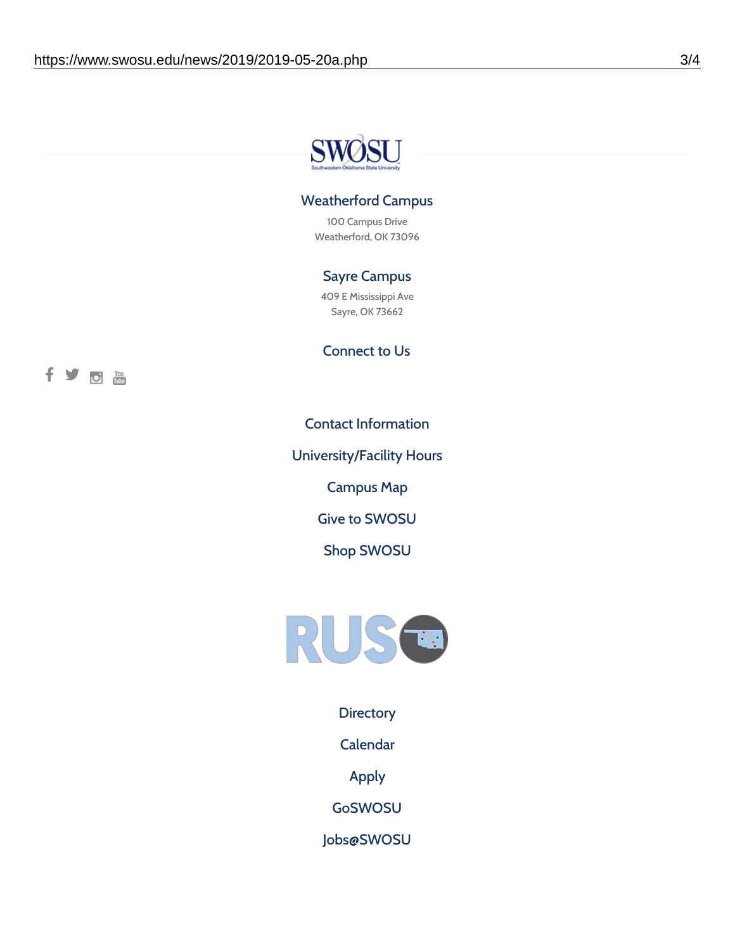

## Weatherford Campus

100 Campus Drive Weatherford, OK 73096

# Sayre Campus

409 E Mississippi Ave Sayre, OK 73662

Connect to Us

fyothe

Contact [Information](https://www.swosu.edu/about/contact.php)

[University/Facility](https://www.swosu.edu/about/operating-hours.php) Hours

[Campus](https://map.concept3d.com/?id=768#!ct/10964,10214,10213,10212,10205,10204,10203,10202,10136,10129,10128,0,31226,10130,10201,10641,0) Map

Give to [SWOSU](https://standingfirmly.com/donate)

Shop [SWOSU](https://shopswosu.merchorders.com/)



**[Directory](https://www.swosu.edu/directory/index.php)** 

[Calendar](https://eventpublisher.dudesolutions.com/swosu/)

[Apply](https://www.swosu.edu/admissions/apply-to-swosu.php)

[GoSWOSU](https://qlsso.quicklaunchsso.com/home/1267)

[Jobs@SWOSU](https://swosu.csod.com/ux/ats/careersite/1/home?c=swosu)